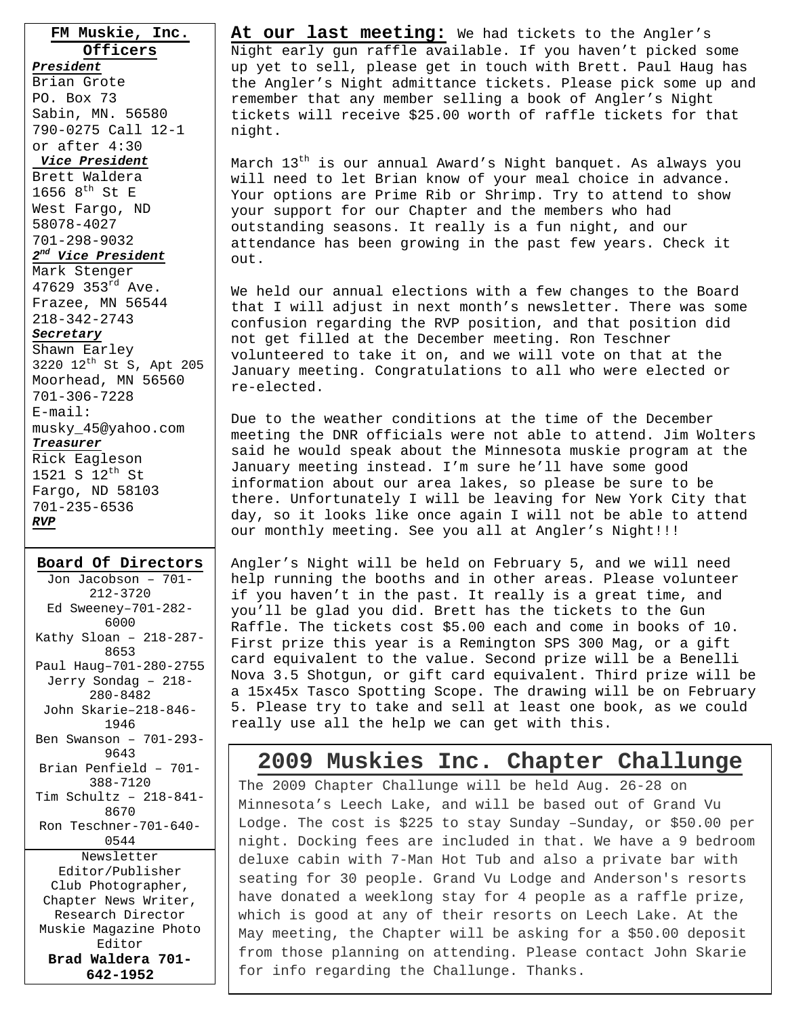**FM Muskie, Inc. Officers**

*President* Brian Grote PO. Box 73 Sabin, MN. 56580 790-0275 Call 12-1 or after 4:30

#### *Vice President*

Brett Waldera 1656  $8^{\text{th}}$  St E West Fargo, ND 58078-4027 701-298-9032 *2nd Vice President*

#### Mark Stenger

47629 353rd Ave. Frazee, MN 56544 218-342-2743

#### *Secretary*

Shawn Earley 3220 12th St S, Apt 205 Moorhead, MN 56560 701-306-7228 E-mail: musky\_45@yahoo.com *Treasurer* Rick Eagleson 1521 S 12<sup>th</sup> St Fargo, ND 58103

#### **Board Of Directors**

701-235-6536

*RVP*

Jon Jacobson – 701- 212-3720 Ed Sweeney–701-282- 6000 Kathy Sloan – 218-287- 8653 Paul Haug–701-280-2755 Jerry Sondag – 218- 280-8482 John Skarie–218-846- 1946 Ben Swanson – 701-293- 9643 Brian Penfield – 701- 388-7120 Tim Schultz – 218-841- 8670 Ron Teschner-701-640- 0544 Newsletter Editor/Publisher Club Photographer, Chapter News Writer, Research Director Muskie Magazine Photo Editor **Brad Waldera 701- 642-1952** 

l

**At our last meeting:** We had tickets to the Angler's Night early gun raffle available. If you haven't picked some up yet to sell, please get in touch with Brett. Paul Haug has the Angler's Night admittance tickets. Please pick some up and remember that any member selling a book of Angler's Night tickets will receive \$25.00 worth of raffle tickets for that night.

March  $13^{th}$  is our annual Award's Night banquet. As always you will need to let Brian know of your meal choice in advance. Your options are Prime Rib or Shrimp. Try to attend to show your support for our Chapter and the members who had outstanding seasons. It really is a fun night, and our attendance has been growing in the past few years. Check it out.

We held our annual elections with a few changes to the Board that I will adjust in next month's newsletter. There was some confusion regarding the RVP position, and that position did not get filled at the December meeting. Ron Teschner volunteered to take it on, and we will vote on that at the January meeting. Congratulations to all who were elected or re-elected.

Due to the weather conditions at the time of the December meeting the DNR officials were not able to attend. Jim Wolters said he would speak about the Minnesota muskie program at the January meeting instead. I'm sure he'll have some good information about our area lakes, so please be sure to be there. Unfortunately I will be leaving for New York City that day, so it looks like once again I will not be able to attend our monthly meeting. See you all at Angler's Night!!!

Angler's Night will be held on February 5, and we will need help running the booths and in other areas. Please volunteer if you haven't in the past. It really is a great time, and you'll be glad you did. Brett has the tickets to the Gun Raffle. The tickets cost \$5.00 each and come in books of 10. First prize this year is a Remington SPS 300 Mag, or a gift card equivalent to the value. Second prize will be a Benelli Nova 3.5 Shotgun, or gift card equivalent. Third prize will be a 15x45x Tasco Spotting Scope. The drawing will be on February 5. Please try to take and sell at least one book, as we could really use all the help we can get with this.

### **2009 Muskies Inc. Chapter Challunge**

The 2009 Chapter Challunge will be held Aug. 26-28 on Minnesota's Leech Lake, and will be based out of Grand Vu Lodge. The cost is \$225 to stay Sunday –Sunday, or \$50.00 per night. Docking fees are included in that. We have a 9 bedroom deluxe cabin with 7-Man Hot Tub and also a private bar with seating for 30 people. Grand Vu Lodge and Anderson's resorts have donated a weeklong stay for 4 people as a raffle prize, which is good at any of their resorts on Leech Lake. At the May meeting, the Chapter will be asking for a \$50.00 deposit from those planning on attending. Please contact John Skarie for info regarding the Challunge. Thanks.